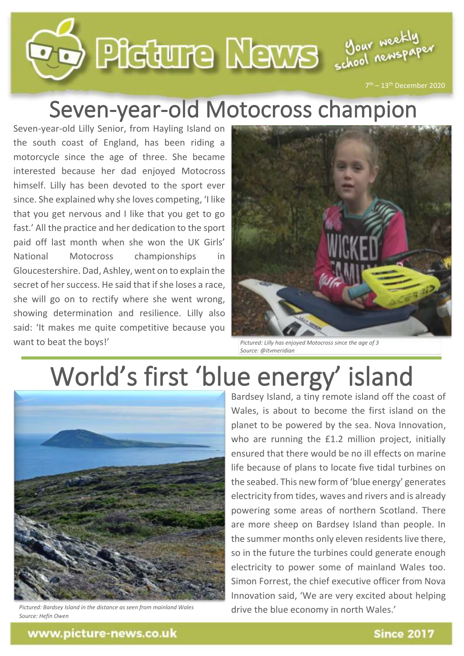

## Seven-year-old Motocross champion

Seven-year-old Lilly Senior, from Hayling Island on the south coast of England, has been riding a motorcycle since the age of three. She became interested because her dad enjoyed Motocross himself. Lilly has been devoted to the sport ever since. She explained why she loves competing, 'I like that you get nervous and I like that you get to go fast.' All the practice and her dedication to the sport paid off last month when she won the UK Girls' National Motocross championships in Gloucestershire. Dad, Ashley, went on to explain the secret of her success. He said that if she loses a race, she will go on to rectify where she went wrong, showing determination and resilience. Lilly also said: 'It makes me quite competitive because you want to beat the boys!'



*Pictured: Lilly has enjoyed Motocross since the age of 3 Source: @itvmeridian*

## World's first 'blue energy' island



*Pictured: Bardsey Island in the distance as seen from mainland Wales Source: Hefin Owen*

Bardsey Island, a tiny remote island off the coast of Wales, is about to become the first island on the planet to be powered by the sea. Nova Innovation, who are running the £1.2 million project, initially ensured that there would be no ill effects on marine life because of plans to locate five tidal turbines on the seabed. This new form of 'blue energy' generates electricity from tides, waves and rivers and is already powering some areas of northern Scotland. There are more sheep on Bardsey Island than people. In the summer months only eleven residents live there, so in the future the turbines could generate enough electricity to power some of mainland Wales too. Simon Forrest, the chief executive officer from Nova Innovation said, 'We are very excited about helping drive the blue economy in north Wales.'